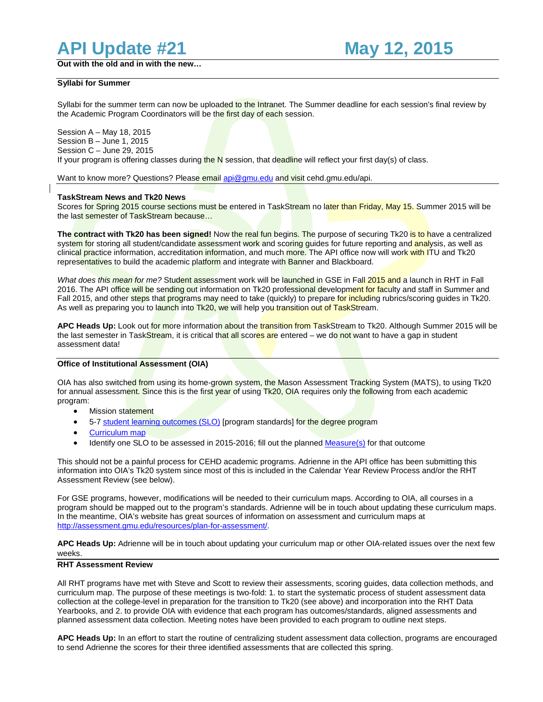# **API Update #21 May 12, 2015**

**Out with the old and in with the new…**

## **Syllabi for Summer**

Syllabi for the summer term can now be uploaded to the Intranet. The Summer deadline for each session's final review by the Academic Program Coordinators will be the first day of each session.

Session A – May 18, 2015 Session B – June 1, 2015 Session C – June 29, 2015 If your program is offering classes during the N session, that deadline will reflect your first day(s) of class.

Want to know more? Questions? Please email [api@gmu.edu](mailto:api@gmu.edu) and visit cehd.gmu.edu/api.

### **TaskStream News and Tk20 News**

Scores for Spring 2015 course sections must be entered in TaskStream no later than Friday, May 15. Summer 2015 will be the last semester of TaskStream because…

**The contract with Tk20 has been signed!** Now the real fun begins. The purpose of securing Tk20 is to have a centralized system for storing all student/candidate assessment work and scoring quides for future reporting and analysis, as well as clinical practice information, accreditation information, and much more. The API office now will work with ITU and Tk20 representatives to build the academic platform and integrate with Banner and Blackboard.

*What does this mean for me?* Student assessment work will be launched in GSE in Fall 2015 and a launch in RHT in Fall 2016. The API office will be sending out information on Tk20 professional development for faculty and staff in Summer and Fall 2015, and other steps that programs may need to take (quickly) to prepare for including rubrics/scoring guides in Tk20. As well as preparing you to launch into Tk20, we will help you transition out of TaskStream.

**APC Heads Up:** Look out for more information about the transition from TaskStream to Tk20. Although Summer 2015 will be the last semester in TaskStream, it is critical that all scores are entered – we do not want to have a gap in student assessment data!

#### **Office of Institutional Assessment (OIA)**

OIA has also switched from using its home-grown system, the Mason Assessment Tracking System (MATS), to using Tk20 for annual assessment. Since this is the first year of using Tk20, OIA requires only the following from each academic program:

- **Mission statement**
- 5-7 [student learning outcomes \(SLO\)](http://assessment.gmu.edu/resources/create-and-measure-student-learning-outcomes/) [program standards] for the degree program
- [Curriculum map](http://assessment.gmu.edu/resources/make-a-curriculum-map/)
- Identify one SLO to be assessed in 2015-2016; fill out the planne[d Measure\(s\)](http://assessment.gmu.edu/resources/create-and-measure-student-learning-outcomes/) for that outcome

This should not be a painful process for CEHD academic programs. Adrienne in the API office has been submitting this information into OIA's Tk20 system since most of this is included in the Calendar Year Review Process and/or the RHT Assessment Review (see below).

For GSE programs, however, modifications will be needed to their curriculum maps. According to OIA, all courses in a program should be mapped out to the program's standards. Adrienne will be in touch about updating these curriculum maps. In the meantime, OIA's website has great sources of information on assessment and curriculum maps at [http://assessment.gmu.edu/resources/plan-for-assessment/.](http://assessment.gmu.edu/resources/plan-for-assessment/) 

**APC Heads Up:** Adrienne will be in touch about updating your curriculum map or other OIA-related issues over the next few weeks.

## **RHT Assessment Review**

All RHT programs have met with Steve and Scott to review their assessments, scoring guides, data collection methods, and curriculum map. The purpose of these meetings is two-fold: 1. to start the systematic process of student assessment data collection at the college-level in preparation for the transition to Tk20 (see above) and incorporation into the RHT Data Yearbooks, and 2. to provide OIA with evidence that each program has outcomes/standards, aligned assessments and planned assessment data collection. Meeting notes have been provided to each program to outline next steps.

**APC Heads Up:** In an effort to start the routine of centralizing student assessment data collection, programs are encouraged to send Adrienne the scores for their three identified assessments that are collected this spring.